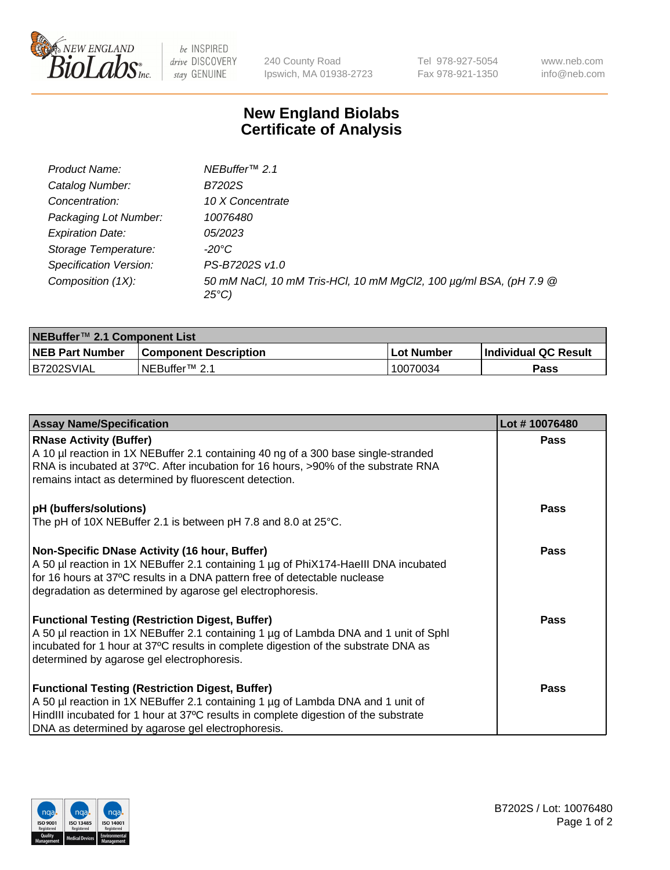

be INSPIRED drive DISCOVERY stay GENUINE

240 County Road Ipswich, MA 01938-2723 Tel 978-927-5054 Fax 978-921-1350 www.neb.com info@neb.com

## **New England Biolabs Certificate of Analysis**

| Product Name:           | NEBuffer <sup>™</sup> 2.1                                                          |
|-------------------------|------------------------------------------------------------------------------------|
| Catalog Number:         | B7202S                                                                             |
| Concentration:          | 10 X Concentrate                                                                   |
| Packaging Lot Number:   | 10076480                                                                           |
| <b>Expiration Date:</b> | <i>05/2023</i>                                                                     |
| Storage Temperature:    | -20°C                                                                              |
| Specification Version:  | PS-B7202S v1.0                                                                     |
| Composition (1X):       | 50 mM NaCl, 10 mM Tris-HCl, 10 mM MgCl2, 100 µg/ml BSA, (pH 7.9 @<br>$25^{\circ}C$ |

| NEBuffer™ 2.1 Component List |                              |              |                             |  |
|------------------------------|------------------------------|--------------|-----------------------------|--|
| <b>NEB Part Number</b>       | <b>Component Description</b> | . Lot Number | <b>Individual QC Result</b> |  |
| B7202SVIAL                   | NEBuffer™ 2.1                | 10070034     | <b>Pass</b>                 |  |

| <b>Assay Name/Specification</b>                                                                                                                                                                                                                                                       | Lot #10076480 |
|---------------------------------------------------------------------------------------------------------------------------------------------------------------------------------------------------------------------------------------------------------------------------------------|---------------|
| <b>RNase Activity (Buffer)</b><br>A 10 µl reaction in 1X NEBuffer 2.1 containing 40 ng of a 300 base single-stranded                                                                                                                                                                  | <b>Pass</b>   |
| RNA is incubated at 37°C. After incubation for 16 hours, >90% of the substrate RNA<br>remains intact as determined by fluorescent detection.                                                                                                                                          |               |
| pH (buffers/solutions)                                                                                                                                                                                                                                                                | <b>Pass</b>   |
| The pH of 10X NEBuffer 2.1 is between pH 7.8 and 8.0 at 25°C.                                                                                                                                                                                                                         |               |
| Non-Specific DNase Activity (16 hour, Buffer)<br>A 50 µl reaction in 1X NEBuffer 2.1 containing 1 µg of PhiX174-Haelll DNA incubated<br>for 16 hours at 37°C results in a DNA pattern free of detectable nuclease<br>degradation as determined by agarose gel electrophoresis.        | <b>Pass</b>   |
| <b>Functional Testing (Restriction Digest, Buffer)</b><br>A 50 µl reaction in 1X NEBuffer 2.1 containing 1 µg of Lambda DNA and 1 unit of Sphl<br>incubated for 1 hour at 37°C results in complete digestion of the substrate DNA as<br>determined by agarose gel electrophoresis.    | <b>Pass</b>   |
| <b>Functional Testing (Restriction Digest, Buffer)</b><br>A 50 µl reaction in 1X NEBuffer 2.1 containing 1 µg of Lambda DNA and 1 unit of<br>HindIII incubated for 1 hour at 37°C results in complete digestion of the substrate<br>DNA as determined by agarose gel electrophoresis. | <b>Pass</b>   |